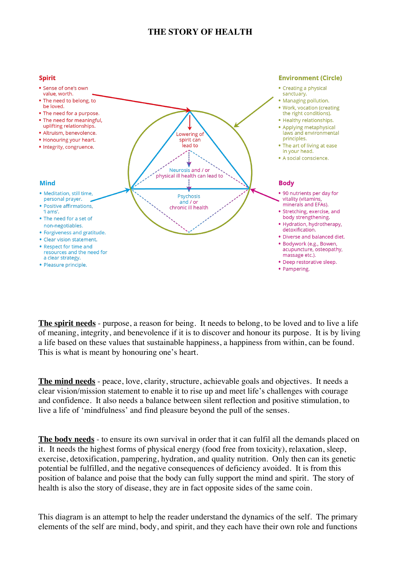## **THE STORY OF HEALTH**



**The spirit needs** - purpose, a reason for being. It needs to belong, to be loved and to live a life of meaning, integrity, and benevolence if it is to discover and honour its purpose. It is by living a life based on these values that sustainable happiness, a happiness from within, can be found. This is what is meant by honouring one's heart.

**The mind needs** - peace, love, clarity, structure, achievable goals and objectives. It needs a clear vision/mission statement to enable it to rise up and meet life's challenges with courage and confidence. It also needs a balance between silent reflection and positive stimulation, to live a life of 'mindfulness' and find pleasure beyond the pull of the senses.

**The body needs** - to ensure its own survival in order that it can fulfil all the demands placed on it. It needs the highest forms of physical energy (food free from toxicity), relaxation, sleep, exercise, detoxification, pampering, hydration, and quality nutrition. Only then can its genetic potential be fulfilled, and the negative consequences of deficiency avoided. It is from this position of balance and poise that the body can fully support the mind and spirit. The story of health is also the story of disease, they are in fact opposite sides of the same coin.

This diagram is an attempt to help the reader understand the dynamics of the self. The primary elements of the self are mind, body, and spirit, and they each have their own role and functions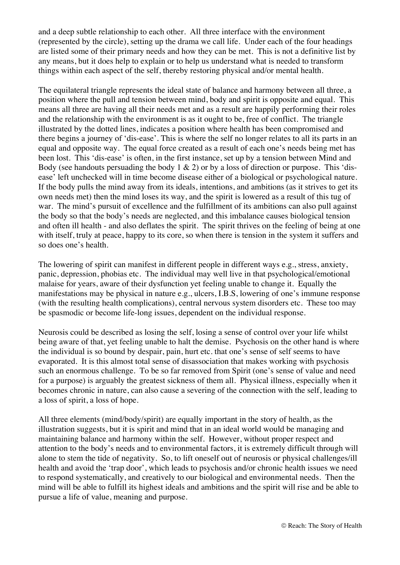and a deep subtle relationship to each other. All three interface with the environment (represented by the circle), setting up the drama we call life. Under each of the four headings are listed some of their primary needs and how they can be met. This is not a definitive list by any means, but it does help to explain or to help us understand what is needed to transform things within each aspect of the self, thereby restoring physical and/or mental health.

The equilateral triangle represents the ideal state of balance and harmony between all three, a position where the pull and tension between mind, body and spirit is opposite and equal. This means all three are having all their needs met and as a result are happily performing their roles and the relationship with the environment is as it ought to be, free of conflict. The triangle illustrated by the dotted lines, indicates a position where health has been compromised and there begins a journey of 'dis-ease'. This is where the self no longer relates to all its parts in an equal and opposite way. The equal force created as a result of each one's needs being met has been lost. This 'dis-ease' is often, in the first instance, set up by a tension between Mind and Body (see handouts persuading the body  $1 \& 2$ ) or by a loss of direction or purpose. This 'disease' left unchecked will in time become disease either of a biological or psychological nature. If the body pulls the mind away from its ideals, intentions, and ambitions (as it strives to get its own needs met) then the mind loses its way, and the spirit is lowered as a result of this tug of war. The mind's pursuit of excellence and the fulfillment of its ambitions can also pull against the body so that the body's needs are neglected, and this imbalance causes biological tension and often ill health - and also deflates the spirit. The spirit thrives on the feeling of being at one with itself, truly at peace, happy to its core, so when there is tension in the system it suffers and so does one's health.

The lowering of spirit can manifest in different people in different ways e.g., stress, anxiety, panic, depression, phobias etc. The individual may well live in that psychological/emotional malaise for years, aware of their dysfunction yet feeling unable to change it. Equally the manifestations may be physical in nature e.g., ulcers, I.B.S, lowering of one's immune response (with the resulting health complications), central nervous system disorders etc. These too may be spasmodic or become life-long issues, dependent on the individual response.

Neurosis could be described as losing the self, losing a sense of control over your life whilst being aware of that, yet feeling unable to halt the demise. Psychosis on the other hand is where the individual is so bound by despair, pain, hurt etc. that one's sense of self seems to have evaporated. It is this almost total sense of disassociation that makes working with psychosis such an enormous challenge. To be so far removed from Spirit (one's sense of value and need for a purpose) is arguably the greatest sickness of them all. Physical illness, especially when it becomes chronic in nature, can also cause a severing of the connection with the self, leading to a loss of spirit, a loss of hope.

All three elements (mind/body/spirit) are equally important in the story of health, as the illustration suggests, but it is spirit and mind that in an ideal world would be managing and maintaining balance and harmony within the self. However, without proper respect and attention to the body's needs and to environmental factors, it is extremely difficult through will alone to stem the tide of negativity. So, to lift oneself out of neurosis or physical challenges/ill health and avoid the 'trap door', which leads to psychosis and/or chronic health issues we need to respond systematically, and creatively to our biological and environmental needs. Then the mind will be able to fulfill its highest ideals and ambitions and the spirit will rise and be able to pursue a life of value, meaning and purpose.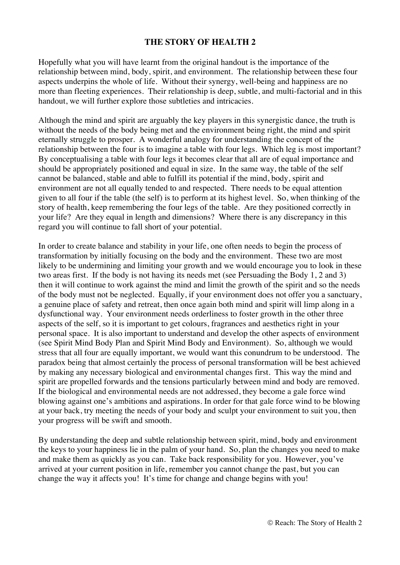## **THE STORY OF HEALTH 2**

Hopefully what you will have learnt from the original handout is the importance of the relationship between mind, body, spirit, and environment. The relationship between these four aspects underpins the whole of life. Without their synergy, well-being and happiness are no more than fleeting experiences. Their relationship is deep, subtle, and multi-factorial and in this handout, we will further explore those subtleties and intricacies.

Although the mind and spirit are arguably the key players in this synergistic dance, the truth is without the needs of the body being met and the environment being right, the mind and spirit eternally struggle to prosper. A wonderful analogy for understanding the concept of the relationship between the four is to imagine a table with four legs. Which leg is most important? By conceptualising a table with four legs it becomes clear that all are of equal importance and should be appropriately positioned and equal in size. In the same way, the table of the self cannot be balanced, stable and able to fulfill its potential if the mind, body, spirit and environment are not all equally tended to and respected. There needs to be equal attention given to all four if the table (the self) is to perform at its highest level. So, when thinking of the story of health, keep remembering the four legs of the table. Are they positioned correctly in your life? Are they equal in length and dimensions? Where there is any discrepancy in this regard you will continue to fall short of your potential.

In order to create balance and stability in your life, one often needs to begin the process of transformation by initially focusing on the body and the environment. These two are most likely to be undermining and limiting your growth and we would encourage you to look in these two areas first. If the body is not having its needs met (see Persuading the Body 1, 2 and 3) then it will continue to work against the mind and limit the growth of the spirit and so the needs of the body must not be neglected. Equally, if your environment does not offer you a sanctuary, a genuine place of safety and retreat, then once again both mind and spirit will limp along in a dysfunctional way. Your environment needs orderliness to foster growth in the other three aspects of the self, so it is important to get colours, fragrances and aesthetics right in your personal space. It is also important to understand and develop the other aspects of environment (see Spirit Mind Body Plan and Spirit Mind Body and Environment). So, although we would stress that all four are equally important, we would want this conundrum to be understood. The paradox being that almost certainly the process of personal transformation will be best achieved by making any necessary biological and environmental changes first. This way the mind and spirit are propelled forwards and the tensions particularly between mind and body are removed. If the biological and environmental needs are not addressed, they become a gale force wind blowing against one's ambitions and aspirations. In order for that gale force wind to be blowing at your back, try meeting the needs of your body and sculpt your environment to suit you, then your progress will be swift and smooth.

By understanding the deep and subtle relationship between spirit, mind, body and environment the keys to your happiness lie in the palm of your hand. So, plan the changes you need to make and make them as quickly as you can. Take back responsibility for you. However, you've arrived at your current position in life, remember you cannot change the past, but you can change the way it affects you! It's time for change and change begins with you!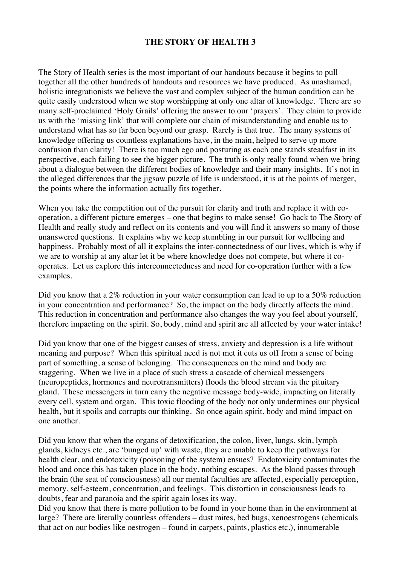## **THE STORY OF HEALTH 3**

The Story of Health series is the most important of our handouts because it begins to pull together all the other hundreds of handouts and resources we have produced. As unashamed, holistic integrationists we believe the vast and complex subject of the human condition can be quite easily understood when we stop worshipping at only one altar of knowledge. There are so many self-proclaimed 'Holy Grails' offering the answer to our 'prayers'. They claim to provide us with the 'missing link' that will complete our chain of misunderstanding and enable us to understand what has so far been beyond our grasp. Rarely is that true. The many systems of knowledge offering us countless explanations have, in the main, helped to serve up more confusion than clarity! There is too much ego and posturing as each one stands steadfast in its perspective, each failing to see the bigger picture. The truth is only really found when we bring about a dialogue between the different bodies of knowledge and their many insights. It's not in the alleged differences that the jigsaw puzzle of life is understood, it is at the points of merger, the points where the information actually fits together.

When you take the competition out of the pursuit for clarity and truth and replace it with cooperation, a different picture emerges – one that begins to make sense! Go back to The Story of Health and really study and reflect on its contents and you will find it answers so many of those unanswered questions. It explains why we keep stumbling in our pursuit for wellbeing and happiness. Probably most of all it explains the inter-connectedness of our lives, which is why if we are to worship at any altar let it be where knowledge does not compete, but where it cooperates. Let us explore this interconnectedness and need for co-operation further with a few examples.

Did you know that a 2% reduction in your water consumption can lead to up to a 50% reduction in your concentration and performance? So, the impact on the body directly affects the mind. This reduction in concentration and performance also changes the way you feel about yourself, therefore impacting on the spirit. So, body, mind and spirit are all affected by your water intake!

Did you know that one of the biggest causes of stress, anxiety and depression is a life without meaning and purpose? When this spiritual need is not met it cuts us off from a sense of being part of something, a sense of belonging. The consequences on the mind and body are staggering. When we live in a place of such stress a cascade of chemical messengers (neuropeptides, hormones and neurotransmitters) floods the blood stream via the pituitary gland. These messengers in turn carry the negative message body-wide, impacting on literally every cell, system and organ. This toxic flooding of the body not only undermines our physical health, but it spoils and corrupts our thinking. So once again spirit, body and mind impact on one another.

Did you know that when the organs of detoxification, the colon, liver, lungs, skin, lymph glands, kidneys etc., are 'bunged up' with waste, they are unable to keep the pathways for health clear, and endotoxicity (poisoning of the system) ensues? Endotoxicity contaminates the blood and once this has taken place in the body, nothing escapes. As the blood passes through the brain (the seat of consciousness) all our mental faculties are affected, especially perception, memory, self-esteem, concentration, and feelings. This distortion in consciousness leads to doubts, fear and paranoia and the spirit again loses its way.

Did you know that there is more pollution to be found in your home than in the environment at large? There are literally countless offenders – dust mites, bed bugs, xenoestrogens (chemicals that act on our bodies like oestrogen – found in carpets, paints, plastics etc.), innumerable